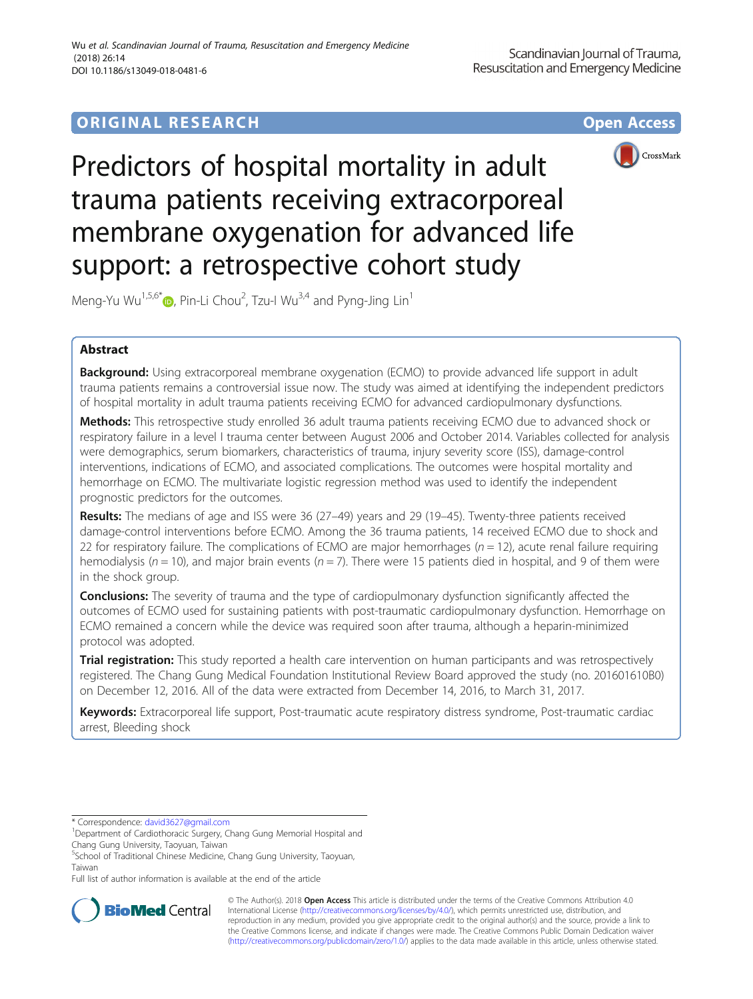# **ORIGINAL RESEARCH CONFIDENTIAL CONFIDENTIAL CONFIDENTIAL CONFIDENTIAL CONFIDENTIAL CONFIDENTIAL CONFIDENTIAL CONFIDENTIAL CONFIDENTIAL CONFIDENTIAL CONFIDENTIAL CONFIDENTIAL CONFIDENTIAL CONFIDENTIAL CONFIDENTIAL CONFIDEN**



Predictors of hospital mortality in adult trauma patients receiving extracorporeal membrane oxygenation for advanced life support: a retrospective cohort study

Meng-Yu Wu $^{1,5,6^*}$  , Pin-Li Chou $^2$ , Tzu-I Wu $^{3,4}$  and Pyng-Jing Lin $^1$ 

# Abstract

Background: Using extracorporeal membrane oxygenation (ECMO) to provide advanced life support in adult trauma patients remains a controversial issue now. The study was aimed at identifying the independent predictors of hospital mortality in adult trauma patients receiving ECMO for advanced cardiopulmonary dysfunctions.

Methods: This retrospective study enrolled 36 adult trauma patients receiving ECMO due to advanced shock or respiratory failure in a level I trauma center between August 2006 and October 2014. Variables collected for analysis were demographics, serum biomarkers, characteristics of trauma, injury severity score (ISS), damage-control interventions, indications of ECMO, and associated complications. The outcomes were hospital mortality and hemorrhage on ECMO. The multivariate logistic regression method was used to identify the independent prognostic predictors for the outcomes.

Results: The medians of age and ISS were 36 (27-49) years and 29 (19-45). Twenty-three patients received damage-control interventions before ECMO. Among the 36 trauma patients, 14 received ECMO due to shock and 22 for respiratory failure. The complications of ECMO are major hemorrhages ( $n = 12$ ), acute renal failure requiring hemodialysis (n = 10), and major brain events (n = 7). There were 15 patients died in hospital, and 9 of them were in the shock group.

**Conclusions:** The severity of trauma and the type of cardiopulmonary dysfunction significantly affected the outcomes of ECMO used for sustaining patients with post-traumatic cardiopulmonary dysfunction. Hemorrhage on ECMO remained a concern while the device was required soon after trauma, although a heparin-minimized protocol was adopted.

Trial registration: This study reported a health care intervention on human participants and was retrospectively registered. The Chang Gung Medical Foundation Institutional Review Board approved the study (no. 201601610B0) on December 12, 2016. All of the data were extracted from December 14, 2016, to March 31, 2017.

Keywords: Extracorporeal life support, Post-traumatic acute respiratory distress syndrome, Post-traumatic cardiac arrest, Bleeding shock

Full list of author information is available at the end of the article



© The Author(s). 2018 Open Access This article is distributed under the terms of the Creative Commons Attribution 4.0 International License [\(http://creativecommons.org/licenses/by/4.0/](http://creativecommons.org/licenses/by/4.0/)), which permits unrestricted use, distribution, and reproduction in any medium, provided you give appropriate credit to the original author(s) and the source, provide a link to the Creative Commons license, and indicate if changes were made. The Creative Commons Public Domain Dedication waiver [\(http://creativecommons.org/publicdomain/zero/1.0/](http://creativecommons.org/publicdomain/zero/1.0/)) applies to the data made available in this article, unless otherwise stated.

<sup>\*</sup> Correspondence: [david3627@gmail.com](mailto:david3627@gmail.com) <sup>1</sup>

<sup>&</sup>lt;sup>1</sup>Department of Cardiothoracic Surgery, Chang Gung Memorial Hospital and Chang Gung University, Taoyuan, Taiwan

<sup>5</sup> School of Traditional Chinese Medicine, Chang Gung University, Taoyuan, Taiwan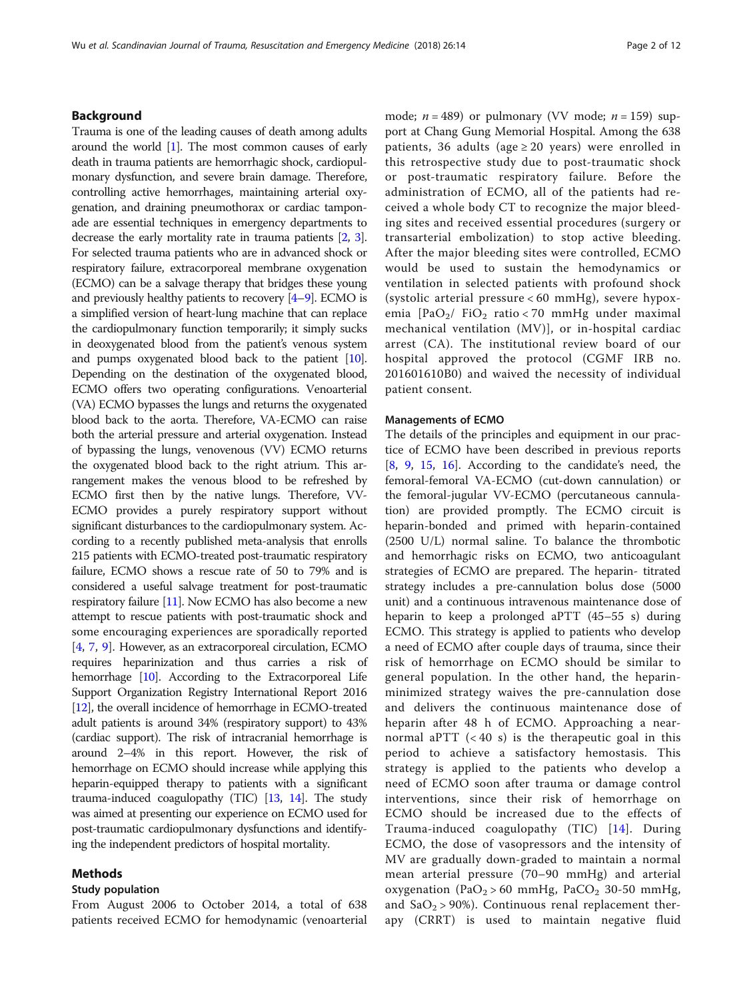# Background

Trauma is one of the leading causes of death among adults around the world [[1](#page-10-0)]. The most common causes of early death in trauma patients are hemorrhagic shock, cardiopulmonary dysfunction, and severe brain damage. Therefore, controlling active hemorrhages, maintaining arterial oxygenation, and draining pneumothorax or cardiac tamponade are essential techniques in emergency departments to decrease the early mortality rate in trauma patients [\[2](#page-10-0), [3](#page-10-0)]. For selected trauma patients who are in advanced shock or respiratory failure, extracorporeal membrane oxygenation (ECMO) can be a salvage therapy that bridges these young and previously healthy patients to recovery  $[4-9]$  $[4-9]$  $[4-9]$  $[4-9]$ . ECMO is a simplified version of heart-lung machine that can replace the cardiopulmonary function temporarily; it simply sucks in deoxygenated blood from the patient's venous system and pumps oxygenated blood back to the patient [\[10](#page-11-0)]. Depending on the destination of the oxygenated blood, ECMO offers two operating configurations. Venoarterial (VA) ECMO bypasses the lungs and returns the oxygenated blood back to the aorta. Therefore, VA-ECMO can raise both the arterial pressure and arterial oxygenation. Instead of bypassing the lungs, venovenous (VV) ECMO returns the oxygenated blood back to the right atrium. This arrangement makes the venous blood to be refreshed by ECMO first then by the native lungs. Therefore, VV-ECMO provides a purely respiratory support without significant disturbances to the cardiopulmonary system. According to a recently published meta-analysis that enrolls 215 patients with ECMO-treated post-traumatic respiratory failure, ECMO shows a rescue rate of 50 to 79% and is considered a useful salvage treatment for post-traumatic respiratory failure [\[11\]](#page-11-0). Now ECMO has also become a new attempt to rescue patients with post-traumatic shock and some encouraging experiences are sporadically reported [[4,](#page-10-0) [7](#page-10-0), [9\]](#page-10-0). However, as an extracorporeal circulation, ECMO requires heparinization and thus carries a risk of hemorrhage [\[10](#page-11-0)]. According to the Extracorporeal Life Support Organization Registry International Report 2016 [[12](#page-11-0)], the overall incidence of hemorrhage in ECMO-treated adult patients is around 34% (respiratory support) to 43% (cardiac support). The risk of intracranial hemorrhage is around 2–4% in this report. However, the risk of hemorrhage on ECMO should increase while applying this heparin-equipped therapy to patients with a significant trauma-induced coagulopathy (TIC) [\[13,](#page-11-0) [14](#page-11-0)]. The study was aimed at presenting our experience on ECMO used for post-traumatic cardiopulmonary dysfunctions and identifying the independent predictors of hospital mortality.

# Methods

# Study population

From August 2006 to October 2014, a total of 638 patients received ECMO for hemodynamic (venoarterial mode;  $n = 489$ ) or pulmonary (VV mode;  $n = 159$ ) support at Chang Gung Memorial Hospital. Among the 638 patients, 36 adults (age  $\geq$  20 years) were enrolled in this retrospective study due to post-traumatic shock or post-traumatic respiratory failure. Before the administration of ECMO, all of the patients had received a whole body CT to recognize the major bleeding sites and received essential procedures (surgery or transarterial embolization) to stop active bleeding. After the major bleeding sites were controlled, ECMO would be used to sustain the hemodynamics or ventilation in selected patients with profound shock (systolic arterial pressure < 60 mmHg), severe hypoxemia  $[PaO<sub>2</sub>/FiO<sub>2</sub> ratio < 70 mmHg under maximal$ mechanical ventilation (MV)], or in-hospital cardiac arrest (CA). The institutional review board of our hospital approved the protocol (CGMF IRB no. 201601610B0) and waived the necessity of individual patient consent.

# Managements of ECMO

The details of the principles and equipment in our practice of ECMO have been described in previous reports [[8,](#page-10-0) [9](#page-10-0), [15](#page-11-0), [16](#page-11-0)]. According to the candidate's need, the femoral-femoral VA-ECMO (cut-down cannulation) or the femoral-jugular VV-ECMO (percutaneous cannulation) are provided promptly. The ECMO circuit is heparin-bonded and primed with heparin-contained (2500 U/L) normal saline. To balance the thrombotic and hemorrhagic risks on ECMO, two anticoagulant strategies of ECMO are prepared. The heparin- titrated strategy includes a pre-cannulation bolus dose (5000 unit) and a continuous intravenous maintenance dose of heparin to keep a prolonged aPTT (45–55 s) during ECMO. This strategy is applied to patients who develop a need of ECMO after couple days of trauma, since their risk of hemorrhage on ECMO should be similar to general population. In the other hand, the heparinminimized strategy waives the pre-cannulation dose and delivers the continuous maintenance dose of heparin after 48 h of ECMO. Approaching a nearnormal aPTT  $( $40 \text{ s}$ )$  is the therapeutic goal in this period to achieve a satisfactory hemostasis. This strategy is applied to the patients who develop a need of ECMO soon after trauma or damage control interventions, since their risk of hemorrhage on ECMO should be increased due to the effects of Trauma-induced coagulopathy (TIC) [[14\]](#page-11-0). During ECMO, the dose of vasopressors and the intensity of MV are gradually down-graded to maintain a normal mean arterial pressure (70–90 mmHg) and arterial oxygenation (PaO<sub>2</sub> > 60 mmHg, PaCO<sub>2</sub> 30-50 mmHg, and  $SaO<sub>2</sub> > 90$ %). Continuous renal replacement therapy (CRRT) is used to maintain negative fluid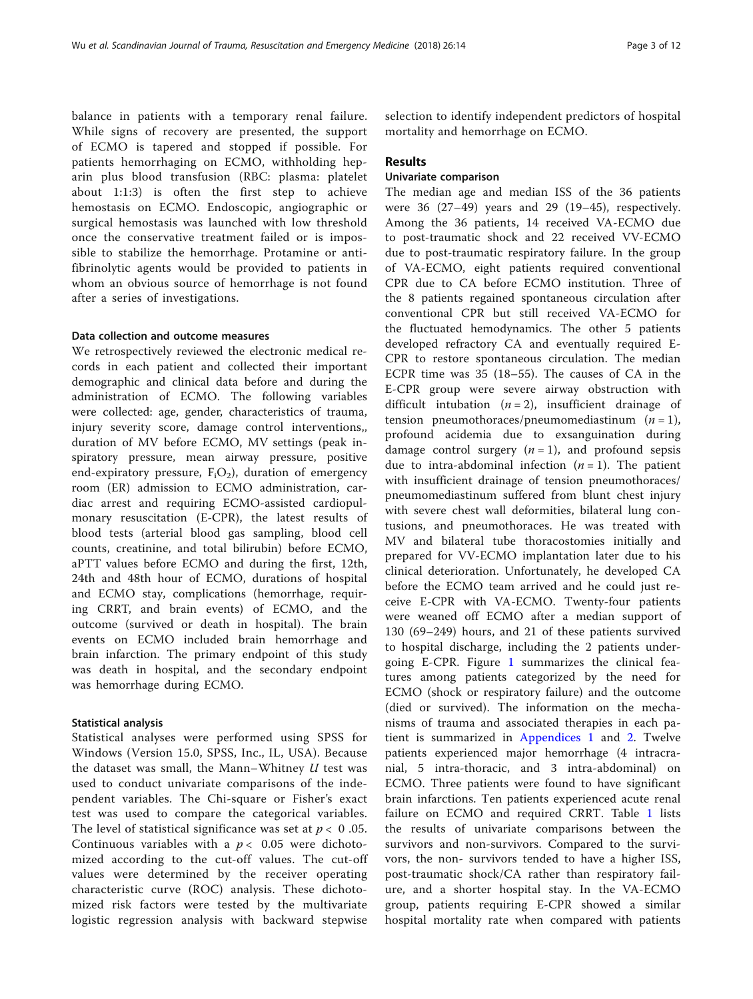balance in patients with a temporary renal failure. While signs of recovery are presented, the support of ECMO is tapered and stopped if possible. For patients hemorrhaging on ECMO, withholding heparin plus blood transfusion (RBC: plasma: platelet about 1:1:3) is often the first step to achieve hemostasis on ECMO. Endoscopic, angiographic or surgical hemostasis was launched with low threshold once the conservative treatment failed or is impossible to stabilize the hemorrhage. Protamine or antifibrinolytic agents would be provided to patients in whom an obvious source of hemorrhage is not found after a series of investigations.

# Data collection and outcome measures

We retrospectively reviewed the electronic medical records in each patient and collected their important demographic and clinical data before and during the administration of ECMO. The following variables were collected: age, gender, characteristics of trauma, injury severity score, damage control interventions,, duration of MV before ECMO, MV settings (peak inspiratory pressure, mean airway pressure, positive end-expiratory pressure,  $F_iO_2$ ), duration of emergency room (ER) admission to ECMO administration, cardiac arrest and requiring ECMO-assisted cardiopulmonary resuscitation (E-CPR), the latest results of blood tests (arterial blood gas sampling, blood cell counts, creatinine, and total bilirubin) before ECMO, aPTT values before ECMO and during the first, 12th, 24th and 48th hour of ECMO, durations of hospital and ECMO stay, complications (hemorrhage, requiring CRRT, and brain events) of ECMO, and the outcome (survived or death in hospital). The brain events on ECMO included brain hemorrhage and brain infarction. The primary endpoint of this study was death in hospital, and the secondary endpoint was hemorrhage during ECMO.

## Statistical analysis

Statistical analyses were performed using SPSS for Windows (Version 15.0, SPSS, Inc., IL, USA). Because the dataset was small, the Mann–Whitney  $U$  test was used to conduct univariate comparisons of the independent variables. The Chi-square or Fisher's exact test was used to compare the categorical variables. The level of statistical significance was set at  $p < 0.05$ . Continuous variables with a  $p < 0.05$  were dichotomized according to the cut-off values. The cut-off values were determined by the receiver operating characteristic curve (ROC) analysis. These dichotomized risk factors were tested by the multivariate logistic regression analysis with backward stepwise selection to identify independent predictors of hospital mortality and hemorrhage on ECMO.

## Results

# Univariate comparison

The median age and median ISS of the 36 patients were 36 (27–49) years and 29 (19–45), respectively. Among the 36 patients, 14 received VA-ECMO due to post-traumatic shock and 22 received VV-ECMO due to post-traumatic respiratory failure. In the group of VA-ECMO, eight patients required conventional CPR due to CA before ECMO institution. Three of the 8 patients regained spontaneous circulation after conventional CPR but still received VA-ECMO for the fluctuated hemodynamics. The other 5 patients developed refractory CA and eventually required E-CPR to restore spontaneous circulation. The median ECPR time was 35 (18–55). The causes of CA in the E-CPR group were severe airway obstruction with difficult intubation  $(n = 2)$ , insufficient drainage of tension pneumothoraces/pneumomediastinum  $(n = 1)$ , profound acidemia due to exsanguination during damage control surgery  $(n = 1)$ , and profound sepsis due to intra-abdominal infection  $(n = 1)$ . The patient with insufficient drainage of tension pneumothoraces/ pneumomediastinum suffered from blunt chest injury with severe chest wall deformities, bilateral lung contusions, and pneumothoraces. He was treated with MV and bilateral tube thoracostomies initially and prepared for VV-ECMO implantation later due to his clinical deterioration. Unfortunately, he developed CA before the ECMO team arrived and he could just receive E-CPR with VA-ECMO. Twenty-four patients were weaned off ECMO after a median support of 130 (69–249) hours, and 21 of these patients survived to hospital discharge, including the 2 patients undergoing E-CPR. Figure [1](#page-3-0) summarizes the clinical features among patients categorized by the need for ECMO (shock or respiratory failure) and the outcome (died or survived). The information on the mechanisms of trauma and associated therapies in each patient is summarized in [Appendices 1](#page-8-0) and [2](#page-9-0). Twelve patients experienced major hemorrhage (4 intracranial, 5 intra-thoracic, and 3 intra-abdominal) on ECMO. Three patients were found to have significant brain infarctions. Ten patients experienced acute renal failure on ECMO and required CRRT. Table [1](#page-4-0) lists the results of univariate comparisons between the survivors and non-survivors. Compared to the survivors, the non- survivors tended to have a higher ISS, post-traumatic shock/CA rather than respiratory failure, and a shorter hospital stay. In the VA-ECMO group, patients requiring E-CPR showed a similar hospital mortality rate when compared with patients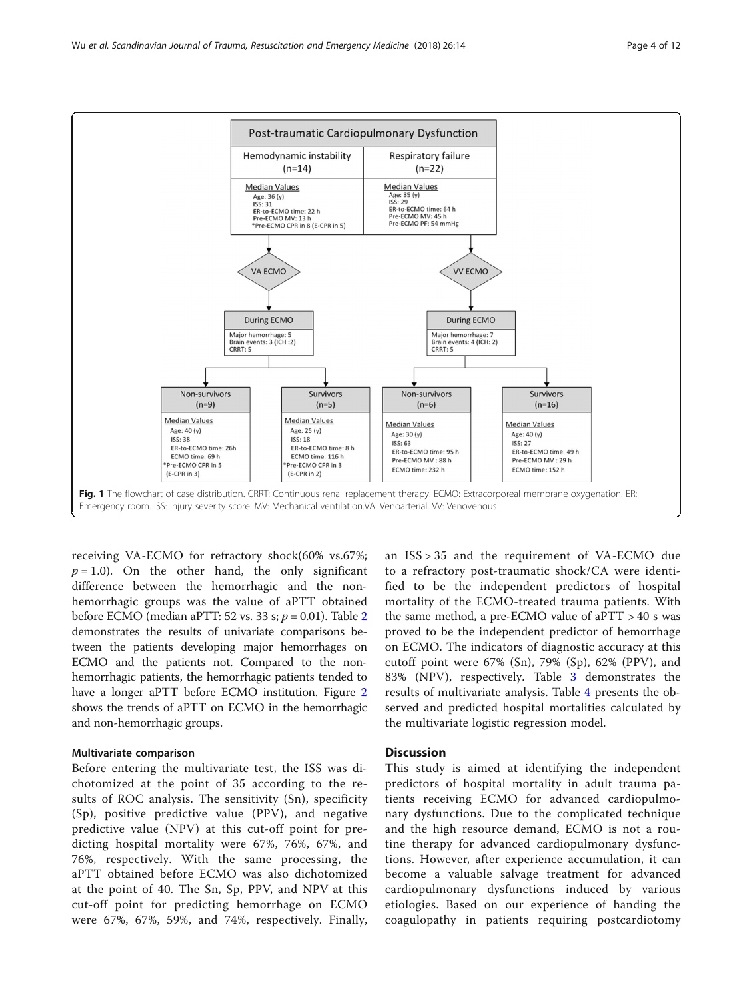

<span id="page-3-0"></span>

receiving VA-ECMO for refractory shock(60% vs.67%;  $p = 1.0$ ). On the other hand, the only significant difference between the hemorrhagic and the nonhemorrhagic groups was the value of aPTT obtained before ECMO (median aPTT: 5[2](#page-4-0) vs. 33 s;  $p = 0.01$ ). Table 2 demonstrates the results of univariate comparisons between the patients developing major hemorrhages on ECMO and the patients not. Compared to the nonhemorrhagic patients, the hemorrhagic patients tended to have a longer aPTT before ECMO institution. Figure [2](#page-5-0) shows the trends of aPTT on ECMO in the hemorrhagic and non-hemorrhagic groups.

## Multivariate comparison

Before entering the multivariate test, the ISS was dichotomized at the point of 35 according to the results of ROC analysis. The sensitivity (Sn), specificity (Sp), positive predictive value (PPV), and negative predictive value (NPV) at this cut-off point for predicting hospital mortality were 67%, 76%, 67%, and 76%, respectively. With the same processing, the aPTT obtained before ECMO was also dichotomized at the point of 40. The Sn, Sp, PPV, and NPV at this cut-off point for predicting hemorrhage on ECMO were 67%, 67%, 59%, and 74%, respectively. Finally, an ISS > 35 and the requirement of VA-ECMO due to a refractory post-traumatic shock/CA were identified to be the independent predictors of hospital mortality of the ECMO-treated trauma patients. With the same method, a pre-ECMO value of  $aPTT > 40$  s was proved to be the independent predictor of hemorrhage on ECMO. The indicators of diagnostic accuracy at this cutoff point were 67% (Sn), 79% (Sp), 62% (PPV), and 83% (NPV), respectively. Table [3](#page-5-0) demonstrates the results of multivariate analysis. Table [4](#page-5-0) presents the observed and predicted hospital mortalities calculated by the multivariate logistic regression model.

# **Discussion**

This study is aimed at identifying the independent predictors of hospital mortality in adult trauma patients receiving ECMO for advanced cardiopulmonary dysfunctions. Due to the complicated technique and the high resource demand, ECMO is not a routine therapy for advanced cardiopulmonary dysfunctions. However, after experience accumulation, it can become a valuable salvage treatment for advanced cardiopulmonary dysfunctions induced by various etiologies. Based on our experience of handing the coagulopathy in patients requiring postcardiotomy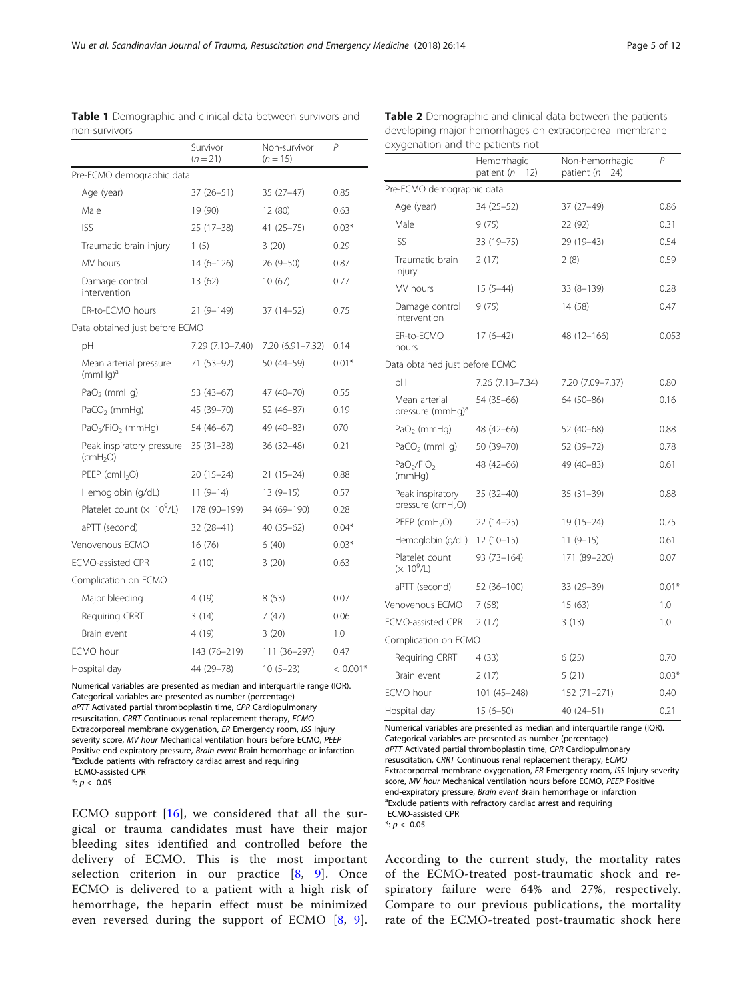P

|                                                   | Survivor<br>$(n = 21)$ | Non-survivor<br>$(n = 15)$ | P          |
|---------------------------------------------------|------------------------|----------------------------|------------|
| Pre-ECMO demographic data                         |                        |                            |            |
| Age (year)                                        | 37 (26–51)             | $35(27-47)$                | 0.85       |
| Male                                              | 19 (90)                | 12 (80)                    | 0.63       |
| <b>ISS</b>                                        | $25(17-38)$            | $41(25 - 75)$              | $0.03*$    |
| Traumatic brain injury                            | 1(5)                   | 3(20)                      | 0.29       |
| MV hours                                          | $14(6-126)$            | 26 (9-50)                  | 0.87       |
| Damage control<br>intervention                    | 13 (62)                | 10(67)                     | 0.77       |
| ER-to-ECMO hours                                  | $21(9-149)$            | 37 (14–52)                 | 0.75       |
| Data obtained just before ECMO                    |                        |                            |            |
| рH                                                | 7.29 (7.10–7.40)       | 7.20 (6.91-7.32)           | 0.14       |
| Mean arterial pressure<br>$(mmHq)^a$              | 71 (53–92)             | 50 (44-59)                 | $0.01*$    |
| $PaO2$ (mmHq)                                     | $53(43-67)$            | 47 (40-70)                 | 0.55       |
| PaCO <sub>2</sub> (mmHg)                          | 45 (39-70)             | 52 (46-87)                 | 0.19       |
| PaO <sub>2</sub> /FiO <sub>2</sub> (mmHq)         | 54 (46-67)             | 49 (40-83)                 | 070        |
| Peak inspiratory pressure<br>(cmH <sub>2</sub> O) | $35(31-38)$            | 36 (32-48)                 | 0.21       |
| $PEEP$ (cmH <sub>2</sub> O)                       | $20(15-24)$            | $21(15-24)$                | 0.88       |
| Hemoglobin (g/dL)                                 | $11(9-14)$             | $13(9-15)$                 | 0.57       |
| Platelet count $(x 109/L)$                        | 178 (90-199)           | 94 (69–190)                | 0.28       |
| aPTT (second)                                     | 32 (28–41)             | 40 (35-62)                 | $0.04*$    |
| Venovenous ECMO                                   | 16 (76)                | 6 (40)                     | $0.03*$    |
| <b>ECMO-assisted CPR</b>                          | 2(10)                  | 3(20)                      | 0.63       |
| Complication on ECMO                              |                        |                            |            |
| Major bleeding                                    | 4 (19)                 | 8(53)                      | 0.07       |
| Requiring CRRT                                    | 3(14)                  | 7(47)                      | 0.06       |
| Brain event                                       | 4 (19)                 | 3(20)                      | 1.0        |
| ECMO hour                                         | 143 (76-219)           | 111 (36-297)               | 0.47       |
| Hospital day                                      | 44 (29-78)             | $10(5-23)$                 | $< 0.001*$ |

<span id="page-4-0"></span>Table 1 Demographic and clinical data between survivors and non-survivors

|                                                   | patient $(n = 12)$ | patient ( $n = 24$ ) |         |
|---------------------------------------------------|--------------------|----------------------|---------|
| Pre-ECMO demographic data                         |                    |                      |         |
| Age (year)                                        | 34 (25 - 52)       | 37 (27-49)           | 0.86    |
| Male                                              | 9(75)              | 22 (92)              | 0.31    |
| <b>ISS</b>                                        | 33 (19-75)         | 29 (19-43)           | 0.54    |
| Traumatic brain<br>injury                         | 2(17)              | 2(8)                 | 0.59    |
| MV hours                                          | $15(5 - 44)$       | $33(8 - 139)$        | 0.28    |
| Damage control<br>intervention                    | 9(75)              | 14 (58)              | 0.47    |
| ER-to-ECMO<br>hours                               | $17(6-42)$         | 48 (12-166)          | 0.053   |
| Data obtained just before ECMO                    |                    |                      |         |
| pH                                                | 7.26 (7.13-7.34)   | 7.20 (7.09-7.37)     | 0.80    |
| Mean arterial<br>pressure (mmHg) <sup>a</sup>     | 54 (35 - 66)       | 64 (50-86)           | 0.16    |
| PaO <sub>2</sub> (mmHg)                           | 48 (42-66)         | 52 (40-68)           | 0.88    |
| PaCO <sub>2</sub> (mmHg)                          | 50 (39–70)         | 52 (39-72)           | 0.78    |
| PaO <sub>2</sub> /FiO <sub>2</sub><br>(mmHq)      | 48 (42-66)         | 49 (40-83)           | 0.61    |
| Peak inspiratory<br>pressure (cmH <sub>2</sub> O) | $35(32 - 40)$      | $35(31-39)$          | 0.88    |
| PEEP ( $cmH2O$ )                                  | 22 (14-25)         | $19(15-24)$          | 0.75    |
| Hemoglobin (g/dL)                                 | $12(10-15)$        | $11(9-15)$           | 0.61    |
| Platelet count<br>$(x 10^9/L)$                    | $93(73 - 164)$     | 171 (89-220)         | 0.07    |
| aPTT (second)                                     | 52 (36-100)        | 33 (29–39)           | $0.01*$ |
| Venovenous ECMO                                   | 7(58)              | 15(63)               | 1.0     |
| <b>ECMO-assisted CPR</b>                          | 2(17)              | 3(13)                | 1.0     |
| Complication on ECMO                              |                    |                      |         |
| Requiring CRRT                                    | 4(33)              | 6(25)                | 0.70    |
| Brain event                                       | 2(17)              | 5(21)                | $0.03*$ |
| ECMO hour                                         | 101 (45-248)       | 152 (71–271)         | 0.40    |
| Hospital day                                      | $15(6 - 50)$       | 40 (24-51)           | 0.21    |

Table 2 Demographic and clinical data between the patients developing major hemorrhages on extracorporeal membrane

Non-hemorrhagic

Hemorrhagic

oxygenation and the patients not

Categorical variables are presented as number (percentage) aPTT Activated partial thromboplastin time, CPR Cardiopulmonary resuscitation, CRRT Continuous renal replacement therapy, ECMO Extracorporeal membrane oxygenation, ER Emergency room, ISS Injury severity score, MV hour Mechanical ventilation hours before ECMO, PEEP Positive end-expiratory pressure, Brain event Brain hemorrhage or infarction <sup>a</sup> Exclude patients with refractory cardiac arrest and requiring ECMO-assisted CPR

Numerical variables are presented as median and interquartile range (IQR).

 $*: p < 0.05$ 

ECMO support  $[16]$  $[16]$  $[16]$ , we considered that all the surgical or trauma candidates must have their major bleeding sites identified and controlled before the delivery of ECMO. This is the most important selection criterion in our practice  $[8, 9]$  $[8, 9]$  $[8, 9]$  $[8, 9]$ . Once ECMO is delivered to a patient with a high risk of hemorrhage, the heparin effect must be minimized even reversed during the support of ECMO [[8](#page-10-0), [9](#page-10-0)].

Numerical variables are presented as median and interquartile range (IQR). Categorical variables are presented as number (percentage) aPTT Activated partial thromboplastin time, CPR Cardiopulmonary resuscitation, CRRT Continuous renal replacement therapy, ECMO Extracorporeal membrane oxygenation, ER Emergency room, ISS Injury severity score, MV hour Mechanical ventilation hours before ECMO, PEEP Positive end-expiratory pressure, Brain event Brain hemorrhage or infarction <sup>a</sup> Exclude patients with refractory cardiac arrest and requiring ECMO-assisted CPR

 $*: p < 0.05$ 

According to the current study, the mortality rates of the ECMO-treated post-traumatic shock and respiratory failure were 64% and 27%, respectively. Compare to our previous publications, the mortality rate of the ECMO-treated post-traumatic shock here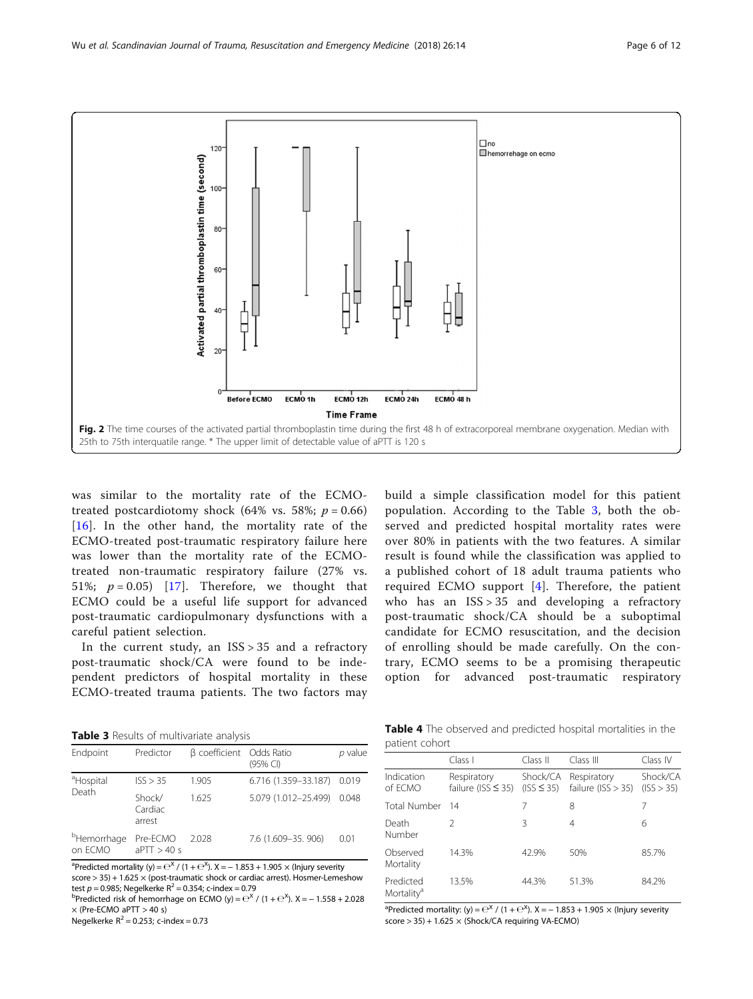<span id="page-5-0"></span>

was similar to the mortality rate of the ECMOtreated postcardiotomy shock (64% vs. 58%;  $p = 0.66$ )  $[16]$  $[16]$  $[16]$ . In the other hand, the mortality rate of the ECMO-treated post-traumatic respiratory failure here was lower than the mortality rate of the ECMOtreated non-traumatic respiratory failure (27% vs. 51%;  $p = 0.05$ ) [\[17\]](#page-11-0). Therefore, we thought that ECMO could be a useful life support for advanced post-traumatic cardiopulmonary dysfunctions with a careful patient selection.

In the current study, an  $ISS > 35$  and a refractory post-traumatic shock/CA were found to be independent predictors of hospital mortality in these ECMO-treated trauma patients. The two factors may

over 80% in patients with the two features. A similar result is found while the classification was applied to a published cohort of 18 adult trauma patients who required ECMO support [[4\]](#page-10-0). Therefore, the patient who has an  $ISS > 35$  and developing a refractory post-traumatic shock/CA should be a suboptimal candidate for ECMO resuscitation, and the decision of enrolling should be made carefully. On the contrary, ECMO seems to be a promising therapeutic option for advanced post-traumatic respiratory

build a simple classification model for this patient population. According to the Table 3, both the observed and predicted hospital mortality rates were

Table 3 Results of multivariate analysis

| Endpoint                           | Predictor                   | β coefficient Odds Ratio | (95% CI)                   | $p$ value |
|------------------------------------|-----------------------------|--------------------------|----------------------------|-----------|
| <sup>a</sup> Hospital              | ISS > 35                    | 1.905                    | 6.716 (1.359-33.187) 0.019 |           |
| Death                              | Shock/<br>Cardiac<br>arrest | 1.625                    | 5.079 (1.012-25.499)       | 0.048     |
| <sup>b</sup> Hemorrhage<br>on ECMO | Pre-ECMO<br>aPTT > 40 s     | 2.028                    | 7.6 (1.609-35. 906)        | 0.01      |

<sup>a</sup>Predicted mortality (y) =  $\mathrm{e}^{\mathrm{x}}$  / (1 +  $\mathrm{e}^{\mathrm{x}}$ ). X = – 1.853 + 1.905  $\times$  (Injury severity score > 35) + 1.625 × (post-traumatic shock or cardiac arrest). Hosmer-Lemeshow test  $p = 0.985$ ; Negelkerke R<sup>2</sup> = 0.354; c-index = 0.79

Predicted risk of hemorrhage on ECMO (y) =  $e^{x}$  / (1 +  $e^{x}$ ). X = -1.558 + 2.028  $\times$  (Pre-ECMO aPTT  $>$  40 s)

Negelkerke  $R^2 = 0.253$ ; c-index = 0.73

Table 4 The observed and predicted hospital mortalities in the patient cohort

|                                     | Class I                                | Class II                    | Class III                           | Class IV               |
|-------------------------------------|----------------------------------------|-----------------------------|-------------------------------------|------------------------|
| Indication<br>of ECMO               | Respiratory<br>failure (ISS $\leq$ 35) | Shock/CA<br>$(ISS \leq 35)$ | Respiratory<br>failure $(ISS > 35)$ | Shock/CA<br>(ISS > 35) |
| Total Number                        | 14                                     | 7                           | 8                                   | 7                      |
| Death<br><b>Number</b>              | $\mathcal{P}$                          | 3                           | 4                                   | 6                      |
| Observed<br>Mortality               | 14.3%                                  | 42.9%                       | 50%                                 | 85.7%                  |
| Predicted<br>Mortality <sup>a</sup> | 13.5%                                  | 44.3%                       | 51.3%                               | 84.2%                  |

<sup>a</sup>Predicted mortality: (y) =  $e^{x}$  / (1 +  $e^{x}$ ). X = – 1.853 + 1.905  $\times$  (lnjury severity score > 35) + 1.625 × (Shock/CA requiring VA-ECMO)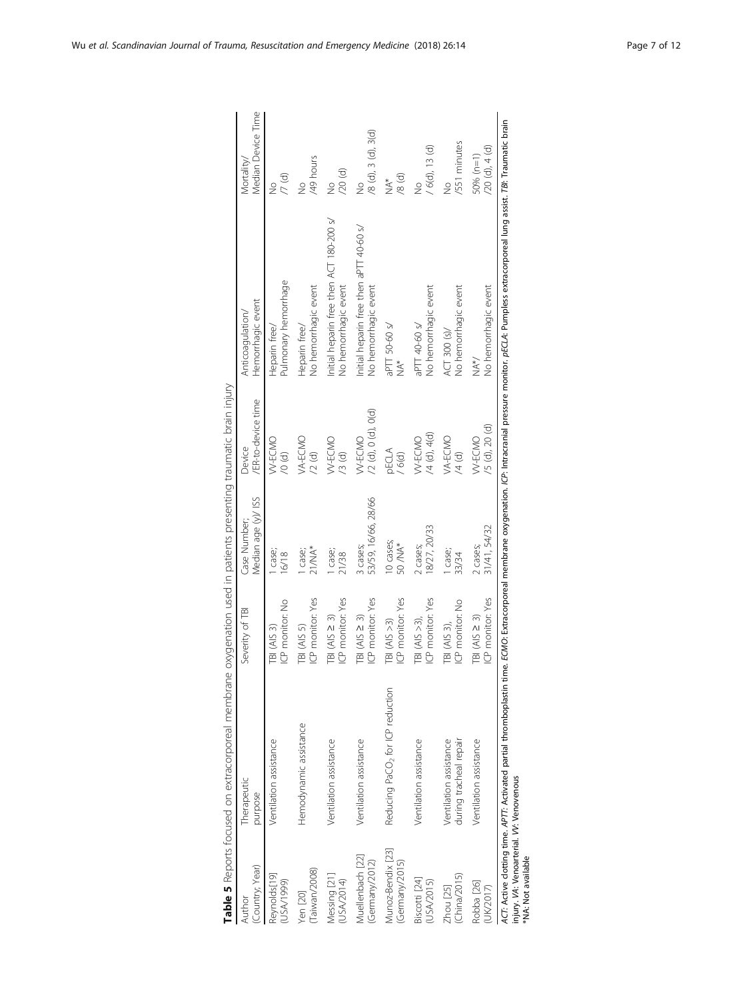<span id="page-6-0"></span>

|                                                               | Table 5 Reports focused on extracorporeal membrane |                    | oxygenation used in patients presenting traumatic brain injury |                           |                                                                                                                                                                                                                         |                       |
|---------------------------------------------------------------|----------------------------------------------------|--------------------|----------------------------------------------------------------|---------------------------|-------------------------------------------------------------------------------------------------------------------------------------------------------------------------------------------------------------------------|-----------------------|
| Lountry; Year)                                                | Therapeutic                                        | Severity of TBI    | Median age (y)/ ISS                                            | /ER-to-device time        | Hemorrhagic event                                                                                                                                                                                                       | Median Device Time    |
| Author                                                        | purpose                                            |                    | Case Number;                                                   | Device                    | Anticoaqulation/                                                                                                                                                                                                        | Mortality/            |
| Reynolds[19]                                                  | Ventilation assistance                             | ICP monitor: No    | case;                                                          | W-ECMO                    | Pulmonary hemorrhage                                                                                                                                                                                                    | 7(d)                  |
| (666L/VSN)                                                    |                                                    | <b>TBI (AIS 3)</b> | 16/18                                                          | $\sqrt{0}$ (d)            | Heparin free/                                                                                                                                                                                                           | $\frac{1}{2}$         |
| Taiwan/2008)                                                  | Hemodynamic assistance                             | ICP monitor: Yes   | $21/MA*$                                                       | VA-ECMO                   | No hemorrhagic event                                                                                                                                                                                                    | /49 hours             |
| Yen [20]                                                      |                                                    | TBI (AIS 5)        | case;                                                          | $\sqrt{2}$ (d)            | Heparin free/                                                                                                                                                                                                           | $\frac{1}{2}$         |
| Messing [21]                                                  | Ventilation assistance                             | ICP monitor: Yes   | l case;                                                        | W-ECMO                    | Initial heparin free then ACT 180-200 s/                                                                                                                                                                                | $/20$ $(d)$           |
| USA/2014)                                                     |                                                    | $IB (AIS \geq 3)$  | 21/38                                                          | (5)                       | No hemorrhagic event                                                                                                                                                                                                    | $\frac{9}{2}$         |
| Muellenbach [22]                                              | Ventilation assistance                             | ICP monitor: Yes   | 53/59, 16/66, 28/66                                            | $/2$ (d), 0 (d), 0(d)     | Initial heparin free then aPTT 40-60 s/                                                                                                                                                                                 | $/8$ (d), 3 (d), 3(d) |
| (Germany/2012)                                                |                                                    | $IB (AIS \geq 3)$  | 3 cases;                                                       | W-ECMO                    | No hemorrhagic event                                                                                                                                                                                                    | $\frac{1}{2}$         |
| Munoz-Bendix [23]                                             | Reducing PaCO <sub>2</sub> for ICP reduction       | ICP monitor: Yes   | 0 cases;                                                       | <b>PECLA</b>              | aPTT 50-60 s/                                                                                                                                                                                                           | (9, 8)                |
| (Germany/2015)                                                |                                                    | $IBI (AIS > 3)$    | 50 / NA*                                                       | / 6(d)                    | $\stackrel{*}{\geq}$                                                                                                                                                                                                    | $\stackrel{*}{\geq}$  |
| Biscotti [24]                                                 | Ventilation assistance                             | ICP monitor: Yes   | 8/27, 20/33                                                    | $/4$ (d), $4$ (d)         | No hemorrhagic event                                                                                                                                                                                                    | $/ 6(d)$ , 13 $(d)$   |
| USA/2015)                                                     |                                                    | TBI $(AIS > 3)$ ,  | 2 cases;                                                       | W-ECMO                    | aPTT 40-60 s/                                                                                                                                                                                                           | $\frac{1}{2}$         |
| (China/2015)                                                  | during tracheal repair                             | ICP monitor: No    | l case;                                                        | VA-ECMO                   | No hemorrhagic event                                                                                                                                                                                                    | /551 minutes          |
| Zhou [25]                                                     | Ventilation assistance                             | TBI (AIS 3),       | 33/34                                                          | $\frac{1}{4}$             | ACT 300 (s)/                                                                                                                                                                                                            | $\frac{1}{2}$         |
| Robba <sub>[26]</sub>                                         | Ventilation assistance                             | ICP monitor: Yes   | 31/41, 54/32                                                   | <sup>(5</sup> (d), 20 (d) | No hemorrhagic event                                                                                                                                                                                                    | (20(d), 4(d)          |
| (UK/2017)                                                     |                                                    | $IB (AIS \geq 3)$  | 2 cases;                                                       | W-ECMO                    | NA*/                                                                                                                                                                                                                    | 50% (n=1)             |
| injury. VA: Venoarterial. VV: Venovenous<br>NA: Not available |                                                    |                    |                                                                |                           | ACT: Active clotting time. APT7: Activated partial thromboplastin time. ECMO: Extracorporeal membrane oxygenation. ICP: Intracranial pressure monitor. pECLA: Pumpless extracorporeal lung assist. TBI: Traumatic brain |                       |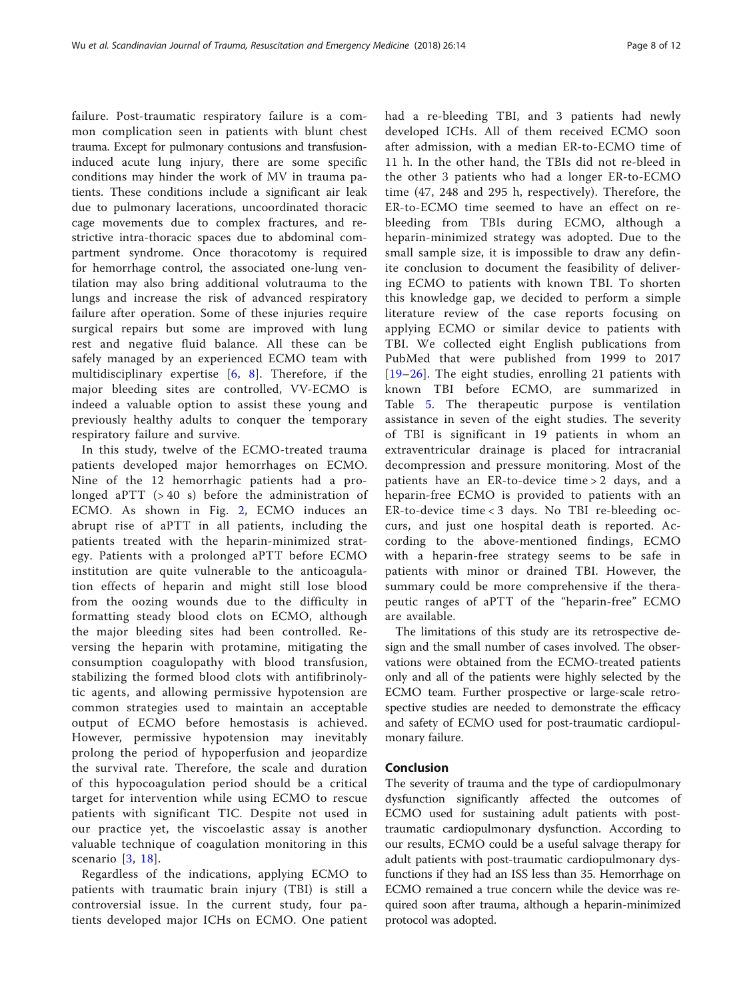failure. Post-traumatic respiratory failure is a common complication seen in patients with blunt chest trauma. Except for pulmonary contusions and transfusioninduced acute lung injury, there are some specific conditions may hinder the work of MV in trauma patients. These conditions include a significant air leak due to pulmonary lacerations, uncoordinated thoracic cage movements due to complex fractures, and restrictive intra-thoracic spaces due to abdominal compartment syndrome. Once thoracotomy is required for hemorrhage control, the associated one-lung ventilation may also bring additional volutrauma to the lungs and increase the risk of advanced respiratory failure after operation. Some of these injuries require surgical repairs but some are improved with lung rest and negative fluid balance. All these can be safely managed by an experienced ECMO team with multidisciplinary expertise [[6,](#page-10-0) [8\]](#page-10-0). Therefore, if the major bleeding sites are controlled, VV-ECMO is indeed a valuable option to assist these young and previously healthy adults to conquer the temporary respiratory failure and survive.

In this study, twelve of the ECMO-treated trauma patients developed major hemorrhages on ECMO. Nine of the 12 hemorrhagic patients had a prolonged aPTT (> 40 s) before the administration of ECMO. As shown in Fig. [2,](#page-5-0) ECMO induces an abrupt rise of aPTT in all patients, including the patients treated with the heparin-minimized strategy. Patients with a prolonged aPTT before ECMO institution are quite vulnerable to the anticoagulation effects of heparin and might still lose blood from the oozing wounds due to the difficulty in formatting steady blood clots on ECMO, although the major bleeding sites had been controlled. Reversing the heparin with protamine, mitigating the consumption coagulopathy with blood transfusion, stabilizing the formed blood clots with antifibrinolytic agents, and allowing permissive hypotension are common strategies used to maintain an acceptable output of ECMO before hemostasis is achieved. However, permissive hypotension may inevitably prolong the period of hypoperfusion and jeopardize the survival rate. Therefore, the scale and duration of this hypocoagulation period should be a critical target for intervention while using ECMO to rescue patients with significant TIC. Despite not used in our practice yet, the viscoelastic assay is another valuable technique of coagulation monitoring in this scenario [[3,](#page-10-0) [18\]](#page-11-0).

Regardless of the indications, applying ECMO to patients with traumatic brain injury (TBI) is still a controversial issue. In the current study, four patients developed major ICHs on ECMO. One patient had a re-bleeding TBI, and 3 patients had newly developed ICHs. All of them received ECMO soon after admission, with a median ER-to-ECMO time of 11 h. In the other hand, the TBIs did not re-bleed in the other 3 patients who had a longer ER-to-ECMO time (47, 248 and 295 h, respectively). Therefore, the ER-to-ECMO time seemed to have an effect on rebleeding from TBIs during ECMO, although a heparin-minimized strategy was adopted. Due to the small sample size, it is impossible to draw any definite conclusion to document the feasibility of delivering ECMO to patients with known TBI. To shorten this knowledge gap, we decided to perform a simple literature review of the case reports focusing on applying ECMO or similar device to patients with TBI. We collected eight English publications from PubMed that were published from 1999 to 2017 [[19](#page-11-0)–[26\]](#page-11-0). The eight studies, enrolling 21 patients with known TBI before ECMO, are summarized in Table [5.](#page-6-0) The therapeutic purpose is ventilation assistance in seven of the eight studies. The severity of TBI is significant in 19 patients in whom an extraventricular drainage is placed for intracranial decompression and pressure monitoring. Most of the patients have an ER-to-device time > 2 days, and a heparin-free ECMO is provided to patients with an ER-to-device time < 3 days. No TBI re-bleeding occurs, and just one hospital death is reported. According to the above-mentioned findings, ECMO with a heparin-free strategy seems to be safe in patients with minor or drained TBI. However, the summary could be more comprehensive if the therapeutic ranges of aPTT of the "heparin-free" ECMO are available.

The limitations of this study are its retrospective design and the small number of cases involved. The observations were obtained from the ECMO-treated patients only and all of the patients were highly selected by the ECMO team. Further prospective or large-scale retrospective studies are needed to demonstrate the efficacy and safety of ECMO used for post-traumatic cardiopulmonary failure.

# Conclusion

The severity of trauma and the type of cardiopulmonary dysfunction significantly affected the outcomes of ECMO used for sustaining adult patients with posttraumatic cardiopulmonary dysfunction. According to our results, ECMO could be a useful salvage therapy for adult patients with post-traumatic cardiopulmonary dysfunctions if they had an ISS less than 35. Hemorrhage on ECMO remained a true concern while the device was required soon after trauma, although a heparin-minimized protocol was adopted.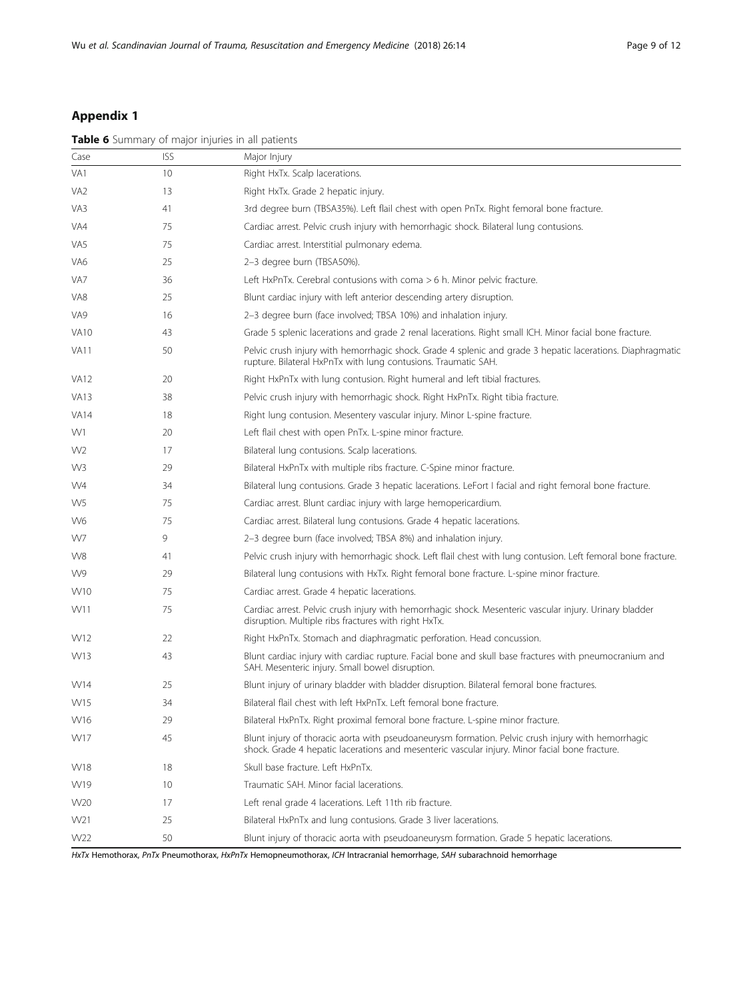# <span id="page-8-0"></span>Appendix 1

|                 |            | Table 6 Summary of major injuries in all patients                                                                                                                                                    |
|-----------------|------------|------------------------------------------------------------------------------------------------------------------------------------------------------------------------------------------------------|
| Case            | <b>ISS</b> | Major Injury                                                                                                                                                                                         |
| VA1             | 10         | Right HxTx. Scalp lacerations.                                                                                                                                                                       |
| VA <sub>2</sub> | 13         | Right HxTx. Grade 2 hepatic injury.                                                                                                                                                                  |
| VA3             | 41         | 3rd degree burn (TBSA35%). Left flail chest with open PnTx. Right femoral bone fracture.                                                                                                             |
| VA4             | 75         | Cardiac arrest. Pelvic crush injury with hemorrhagic shock. Bilateral lung contusions.                                                                                                               |
| VA5             | 75         | Cardiac arrest. Interstitial pulmonary edema.                                                                                                                                                        |
| VA6             | 25         | 2-3 degree burn (TBSA50%).                                                                                                                                                                           |
| VA7             | 36         | Left HxPnTx. Cerebral contusions with coma $>6$ h. Minor pelvic fracture.                                                                                                                            |
| VA8             | 25         | Blunt cardiac injury with left anterior descending artery disruption.                                                                                                                                |
| VA9             | 16         | 2-3 degree burn (face involved; TBSA 10%) and inhalation injury.                                                                                                                                     |
| <b>VA10</b>     | 43         | Grade 5 splenic lacerations and grade 2 renal lacerations. Right small ICH. Minor facial bone fracture.                                                                                              |
| <b>VA11</b>     | 50         | Pelvic crush injury with hemorrhagic shock. Grade 4 splenic and grade 3 hepatic lacerations. Diaphragmatic<br>rupture. Bilateral HxPnTx with lung contusions. Traumatic SAH.                         |
| <b>VA12</b>     | 20         | Right HxPnTx with lung contusion. Right humeral and left tibial fractures.                                                                                                                           |
| <b>VA13</b>     | 38         | Pelvic crush injury with hemorrhagic shock. Right HxPnTx. Right tibia fracture.                                                                                                                      |
| <b>VA14</b>     | 18         | Right lung contusion. Mesentery vascular injury. Minor L-spine fracture.                                                                                                                             |
| W1              | 20         | Left flail chest with open PnTx. L-spine minor fracture.                                                                                                                                             |
| W <sub>2</sub>  | 17         | Bilateral lung contusions. Scalp lacerations.                                                                                                                                                        |
| W3              | 29         | Bilateral HxPnTx with multiple ribs fracture. C-Spine minor fracture.                                                                                                                                |
| W4              | 34         | Bilateral lung contusions. Grade 3 hepatic lacerations. LeFort I facial and right femoral bone fracture.                                                                                             |
| W <sub>5</sub>  | 75         | Cardiac arrest. Blunt cardiac injury with large hemopericardium.                                                                                                                                     |
| W6              | 75         | Cardiac arrest. Bilateral lung contusions. Grade 4 hepatic lacerations.                                                                                                                              |
| W7              | 9          | 2-3 degree burn (face involved; TBSA 8%) and inhalation injury.                                                                                                                                      |
| W8              | 41         | Pelvic crush injury with hemorrhagic shock. Left flail chest with lung contusion. Left femoral bone fracture.                                                                                        |
| W9              | 29         | Bilateral lung contusions with HxTx. Right femoral bone fracture. L-spine minor fracture.                                                                                                            |
| W10             | 75         | Cardiac arrest. Grade 4 hepatic lacerations.                                                                                                                                                         |
| W11             | 75         | Cardiac arrest. Pelvic crush injury with hemorrhagic shock. Mesenteric vascular injury. Urinary bladder<br>disruption. Multiple ribs fractures with right HxTx.                                      |
| W12             | 22         | Right HxPnTx. Stomach and diaphragmatic perforation. Head concussion.                                                                                                                                |
| W13             | 43         | Blunt cardiac injury with cardiac rupture. Facial bone and skull base fractures with pneumocranium and<br>SAH. Mesenteric injury. Small bowel disruption.                                            |
| W14             | 25         | Blunt injury of urinary bladder with bladder disruption. Bilateral femoral bone fractures.                                                                                                           |
| W15             | 34         | Bilateral flail chest with left HxPnTx. Left femoral bone fracture.                                                                                                                                  |
| W16             | 29         | Bilateral HxPnTx. Right proximal femoral bone fracture. L-spine minor fracture.                                                                                                                      |
| W17             | 45         | Blunt injury of thoracic aorta with pseudoaneurysm formation. Pelvic crush injury with hemorrhagic<br>shock. Grade 4 hepatic lacerations and mesenteric vascular injury. Minor facial bone fracture. |
| <b>W18</b>      | 18         | Skull base fracture. Left HxPnTx.                                                                                                                                                                    |
| W19             | 10         | Traumatic SAH. Minor facial lacerations.                                                                                                                                                             |
| W20             | 17         | Left renal grade 4 lacerations. Left 11th rib fracture.                                                                                                                                              |
| W21             | 25         | Bilateral HxPnTx and lung contusions. Grade 3 liver lacerations.                                                                                                                                     |
| W22             | 50         | Blunt injury of thoracic aorta with pseudoaneurysm formation. Grade 5 hepatic lacerations.                                                                                                           |

HxTx Hemothorax, PnTx Pneumothorax, HxPnTx Hemopneumothorax, ICH Intracranial hemorrhage, SAH subarachnoid hemorrhage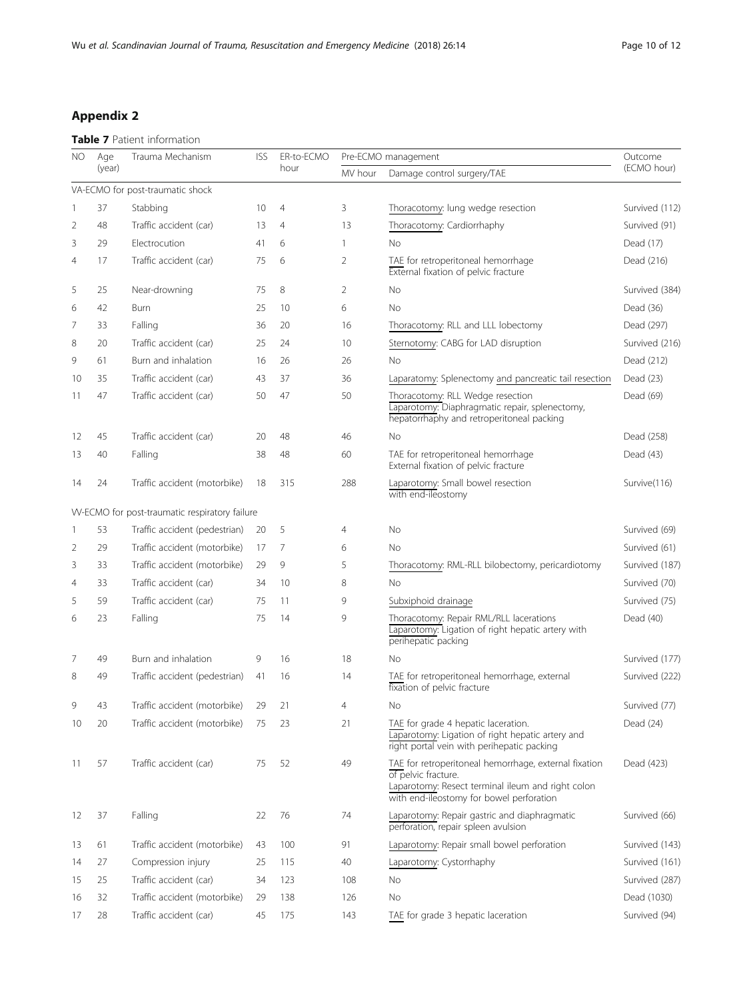# <span id="page-9-0"></span>Appendix 2

# Table 7 Patient information

| NO             | Age    | Trauma Mechanism                              | <b>ISS</b> | ER-to-ECMO     |                | Pre-ECMO management                                                                                                                                                           | Outcome        |
|----------------|--------|-----------------------------------------------|------------|----------------|----------------|-------------------------------------------------------------------------------------------------------------------------------------------------------------------------------|----------------|
|                | (year) |                                               |            | hour           | MV hour        | Damage control surgery/TAE                                                                                                                                                    | (ECMO hour)    |
|                |        | VA-ECMO for post-traumatic shock              |            |                |                |                                                                                                                                                                               |                |
| -1             | 37     | Stabbing                                      | 10         | $\overline{4}$ | 3              | Thoracotomy: lung wedge resection                                                                                                                                             | Survived (112) |
| 2              | 48     | Traffic accident (car)                        | 13         | $\overline{4}$ | 13             | Thoracotomy: Cardiorrhaphy                                                                                                                                                    | Survived (91)  |
| 3              | 29     | Electrocution                                 | 41         | 6              | $\mathbf{1}$   | No                                                                                                                                                                            | Dead (17)      |
| $\overline{4}$ | 17     | Traffic accident (car)                        | 75         | 6              | 2              | TAE for retroperitoneal hemorrhage<br>External fixation of pelvic fracture                                                                                                    | Dead (216)     |
| 5              | 25     | Near-drowning                                 | 75         | 8              | $\overline{2}$ | No                                                                                                                                                                            | Survived (384) |
| 6              | 42     | Burn                                          | 25         | 10             | 6              | <b>No</b>                                                                                                                                                                     | Dead (36)      |
| 7              | 33     | Falling                                       | 36         | 20             | 16             | Thoracotomy: RLL and LLL lobectomy                                                                                                                                            | Dead (297)     |
| 8              | 20     | Traffic accident (car)                        | 25         | 24             | 10             | Sternotomy: CABG for LAD disruption                                                                                                                                           | Survived (216) |
| 9              | 61     | Burn and inhalation                           | 16         | 26             | 26             | No                                                                                                                                                                            | Dead (212)     |
| 10             | 35     | Traffic accident (car)                        | 43         | 37             | 36             | Laparatomy: Splenectomy and pancreatic tail resection                                                                                                                         | Dead (23)      |
| 11             | 47     | Traffic accident (car)                        | 50         | 47             | 50             | Thoracotomy: RLL Wedge resection<br>Laparotomy: Diaphragmatic repair, splenectomy,<br>hepatorrhaphy and retroperitoneal packing                                               | Dead (69)      |
| 12             | 45     | Traffic accident (car)                        | 20         | 48             | 46             | No                                                                                                                                                                            | Dead (258)     |
| 13             | 40     | Falling                                       | 38         | 48             | 60             | TAE for retroperitoneal hemorrhage<br>External fixation of pelvic fracture                                                                                                    | Dead (43)      |
| 14             | 24     | Traffic accident (motorbike)                  | 18         | 315            | 288            | Laparotomy: Small bowel resection<br>with end-ileostomy                                                                                                                       | Survive(116)   |
|                |        | W-ECMO for post-traumatic respiratory failure |            |                |                |                                                                                                                                                                               |                |
| 1              | 53     | Traffic accident (pedestrian)                 | 20         | 5              | $\overline{4}$ | No                                                                                                                                                                            | Survived (69)  |
| 2              | 29     | Traffic accident (motorbike)                  | 17         | 7              | 6              | <b>No</b>                                                                                                                                                                     | Survived (61)  |
| 3              | 33     | Traffic accident (motorbike)                  | 29         | 9              | 5              | Thoracotomy: RML-RLL bilobectomy, pericardiotomy                                                                                                                              | Survived (187) |
| $\overline{4}$ | 33     | Traffic accident (car)                        | 34         | 10             | 8              | <b>No</b>                                                                                                                                                                     | Survived (70)  |
| 5              | 59     | Traffic accident (car)                        | 75         | 11             | 9              | Subxiphoid drainage                                                                                                                                                           | Survived (75)  |
| 6              | 23     | Falling                                       | 75         | 14             | 9              | Thoracotomy: Repair RML/RLL lacerations<br>Laparotomy: Ligation of right hepatic artery with<br>perihepatic packing                                                           | Dead (40)      |
| 7              | 49     | Burn and inhalation                           | 9          | 16             | 18             | No                                                                                                                                                                            | Survived (177) |
| 8              | 49     | Traffic accident (pedestrian)                 | 41         | 16             | 14             | TAE for retroperitoneal hemorrhage, external<br>fixation of pelvic fracture                                                                                                   | Survived (222) |
| 9              | 43     | Traffic accident (motorbike)                  | 29         | 21             | $\overline{4}$ | No                                                                                                                                                                            | Survived (77)  |
| 10             | 20     | Traffic accident (motorbike)                  | 75         | 23             | 21             | TAE for grade 4 hepatic laceration.<br>Laparotomy: Ligation of right hepatic artery and<br>right portal vein with perihepatic packing                                         | Dead (24)      |
| 11             | 57     | Traffic accident (car)                        | 75         | 52             | 49             | TAE for retroperitoneal hemorrhage, external fixation<br>of pelvic fracture.<br>Laparotomy: Resect terminal ileum and right colon<br>with end-ileostomy for bowel perforation | Dead (423)     |
| 12             | 37     | Falling                                       | 22         | 76             | 74             | Laparotomy: Repair gastric and diaphragmatic<br>perforation, repair spleen avulsion                                                                                           | Survived (66)  |
| 13             | 61     | Traffic accident (motorbike)                  | 43         | 100            | 91             | Laparotomy: Repair small bowel perforation                                                                                                                                    | Survived (143) |
| 14             | 27     | Compression injury                            | 25         | 115            | 40             | Laparotomy: Cystorrhaphy                                                                                                                                                      | Survived (161) |
| 15             | 25     | Traffic accident (car)                        | 34         | 123            | 108            | No                                                                                                                                                                            | Survived (287) |
| 16             | 32     | Traffic accident (motorbike)                  | 29         | 138            | 126            | No                                                                                                                                                                            | Dead (1030)    |
| 17             | 28     | Traffic accident (car)                        | 45         | 175            | 143            | TAE for grade 3 hepatic laceration                                                                                                                                            | Survived (94)  |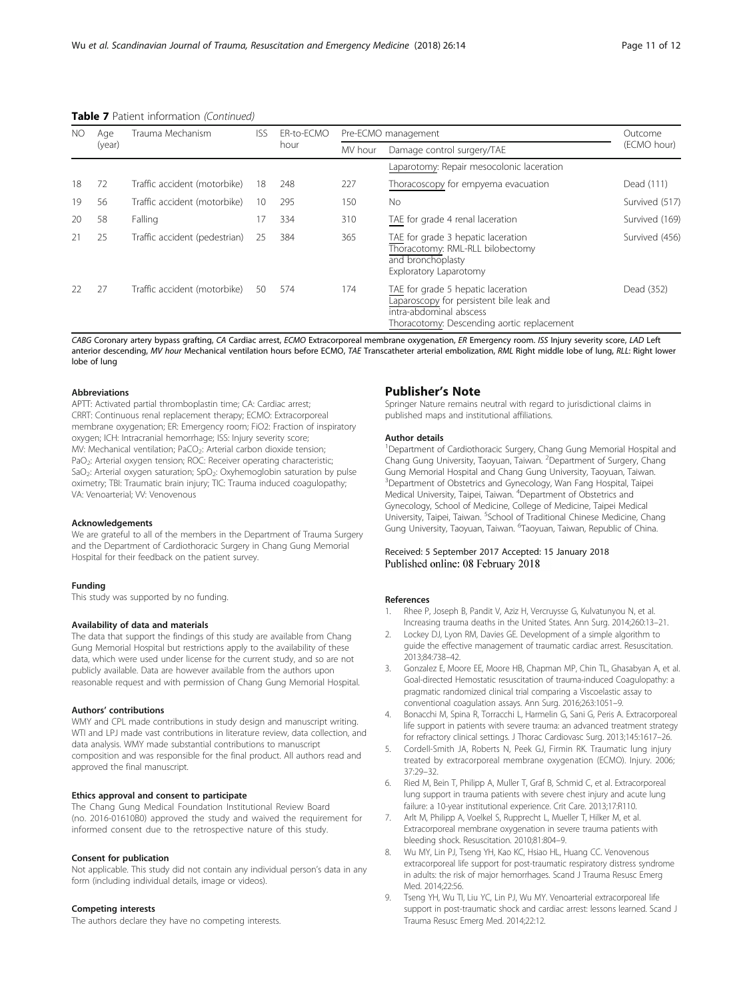| NO<br>Age |        | Trauma Mechanism              | <b>ISS</b> | FR-to-FCMO |         | Pre-ECMO management                                                                                                                                     |                |
|-----------|--------|-------------------------------|------------|------------|---------|---------------------------------------------------------------------------------------------------------------------------------------------------------|----------------|
|           | (year) |                               |            | hour       | MV hour | Damage control surgery/TAE                                                                                                                              | (ECMO hour)    |
|           |        |                               |            |            |         | Laparotomy: Repair mesocolonic laceration                                                                                                               |                |
| 18        | 72     | Traffic accident (motorbike)  | 18         | 248        | 227     | Thoracoscopy for empyema evacuation                                                                                                                     | Dead (111)     |
| 19        | 56     | Traffic accident (motorbike)  | 10         | 295        | 150     | <b>No</b>                                                                                                                                               | Survived (517) |
| 20        | 58     | Falling                       | 17         | 334        | 310     | TAE for grade 4 renal laceration                                                                                                                        | Survived (169) |
| 21        | 25     | Traffic accident (pedestrian) | 25         | 384        | 365     | TAE for grade 3 hepatic laceration<br>Thoracotomy: RML-RLL bilobectomy<br>and bronchoplasty<br>Exploratory Laparotomy                                   | Survived (456) |
|           | 27     | Traffic accident (motorbike)  | 50         | 574        | 174     | TAE for grade 5 hepatic laceration<br>Laparoscopy for persistent bile leak and<br>intra-abdominal abscess<br>Thoracotomy: Descending aortic replacement | Dead (352)     |

#### <span id="page-10-0"></span>Table 7 Patient information (Continued)

CABG Coronary artery bypass grafting, CA Cardiac arrest, ECMO Extracorporeal membrane oxygenation, ER Emergency room. ISS Injury severity score, LAD Left anterior descending, MV hour Mechanical ventilation hours before ECMO, TAE Transcatheter arterial embolization, RML Right middle lobe of lung, RLL: Right lower lobe of lung

## Abbreviations

APTT: Activated partial thromboplastin time; CA: Cardiac arrest; CRRT: Continuous renal replacement therapy; ECMO: Extracorporeal membrane oxygenation; ER: Emergency room; FiO2: Fraction of inspiratory oxygen; ICH: Intracranial hemorrhage; ISS: Injury severity score; MV: Mechanical ventilation; PaCO<sub>2</sub>: Arterial carbon dioxide tension; PaO<sub>2</sub>: Arterial oxygen tension; ROC: Receiver operating characteristic; SaO<sub>2</sub>: Arterial oxygen saturation; SpO<sub>2</sub>: Oxyhemoglobin saturation by pulse oximetry; TBI: Traumatic brain injury; TIC: Trauma induced coagulopathy; VA: Venoarterial; VV: Venovenous

#### Acknowledgements

We are grateful to all of the members in the Department of Trauma Surgery and the Department of Cardiothoracic Surgery in Chang Gung Memorial Hospital for their feedback on the patient survey.

#### Funding

This study was supported by no funding.

## Availability of data and materials

The data that support the findings of this study are available from Chang Gung Memorial Hospital but restrictions apply to the availability of these data, which were used under license for the current study, and so are not publicly available. Data are however available from the authors upon reasonable request and with permission of Chang Gung Memorial Hospital.

#### Authors' contributions

WMY and CPL made contributions in study design and manuscript writing. WTI and LPJ made vast contributions in literature review, data collection, and data analysis. WMY made substantial contributions to manuscript composition and was responsible for the final product. All authors read and approved the final manuscript.

#### Ethics approval and consent to participate

The Chang Gung Medical Foundation Institutional Review Board (no. 2016-01610B0) approved the study and waived the requirement for informed consent due to the retrospective nature of this study.

#### Consent for publication

Not applicable. This study did not contain any individual person's data in any form (including individual details, image or videos).

#### Competing interests

The authors declare they have no competing interests.

# Publisher's Note

Springer Nature remains neutral with regard to jurisdictional claims in published maps and institutional affiliations.

#### Author details

<sup>1</sup>Department of Cardiothoracic Surgery, Chang Gung Memorial Hospital and Chang Gung University, Taoyuan, Taiwan. <sup>2</sup>Department of Surgery, Chang Gung Memorial Hospital and Chang Gung University, Taoyuan, Taiwan. <sup>3</sup>Department of Obstetrics and Gynecology, Wan Fang Hospital, Taipei Medical University, Taipei, Taiwan. <sup>4</sup> Department of Obstetrics and Gynecology, School of Medicine, College of Medicine, Taipei Medical University, Taipei, Taiwan. <sup>5</sup>School of Traditional Chinese Medicine, Chang Gung University, Taoyuan, Taiwan. <sup>6</sup>Taoyuan, Taiwan, Republic of China

# Received: 5 September 2017 Accepted: 15 January 2018

#### References

- 1. Rhee P, Joseph B, Pandit V, Aziz H, Vercruysse G, Kulvatunyou N, et al. Increasing trauma deaths in the United States. Ann Surg. 2014;260:13–21.
- 2. Lockey DJ, Lyon RM, Davies GE. Development of a simple algorithm to guide the effective management of traumatic cardiac arrest. Resuscitation. 2013;84:738–42.
- 3. Gonzalez E, Moore EE, Moore HB, Chapman MP, Chin TL, Ghasabyan A, et al. Goal-directed Hemostatic resuscitation of trauma-induced Coagulopathy: a pragmatic randomized clinical trial comparing a Viscoelastic assay to conventional coagulation assays. Ann Surg. 2016;263:1051–9.
- 4. Bonacchi M, Spina R, Torracchi L, Harmelin G, Sani G, Peris A. Extracorporeal life support in patients with severe trauma: an advanced treatment strategy for refractory clinical settings. J Thorac Cardiovasc Surg. 2013;145:1617–26.
- 5. Cordell-Smith JA, Roberts N, Peek GJ, Firmin RK. Traumatic lung injury treated by extracorporeal membrane oxygenation (ECMO). Injury. 2006; 37:29–32.
- 6. Ried M, Bein T, Philipp A, Muller T, Graf B, Schmid C, et al. Extracorporeal lung support in trauma patients with severe chest injury and acute lung failure: a 10-year institutional experience. Crit Care. 2013;17:R110.
- 7. Arlt M, Philipp A, Voelkel S, Rupprecht L, Mueller T, Hilker M, et al. Extracorporeal membrane oxygenation in severe trauma patients with bleeding shock. Resuscitation. 2010;81:804–9.
- 8. Wu MY, Lin PJ, Tseng YH, Kao KC, Hsiao HL, Huang CC. Venovenous extracorporeal life support for post-traumatic respiratory distress syndrome in adults: the risk of major hemorrhages. Scand J Trauma Resusc Emerg Med. 2014;22:56.
- 9. Tseng YH, Wu TI, Liu YC, Lin PJ, Wu MY. Venoarterial extracorporeal life support in post-traumatic shock and cardiac arrest: lessons learned. Scand J Trauma Resusc Emerg Med. 2014;22:12.